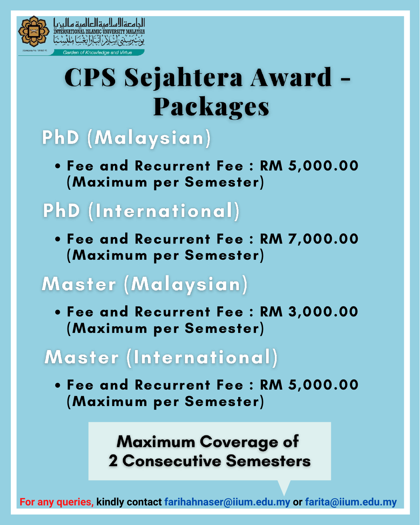

**CPS Sejahtera Award -**Packages

## PhD (Malaysian)

Fee and Recurrent Fee : RM 5,000.00 (Maximum per Semester)

## **PhD** (International)

Fee and Recurrent Fee : RM 7,000.00 (Maximum per Semester)

## Master (Malaysian)

Fee and Recurrent Fee : RM 3,000.00 (Maximum per Semester)

### Master (International)

Fee and Recurrent Fee : RM 5,000.00 (Maximum per Semester)

### **Maximum Coverage of 2 Consecutive Semesters**

**For any queries, kindly contact farihahnaser@iium.edu.my or farita@iium.edu.my**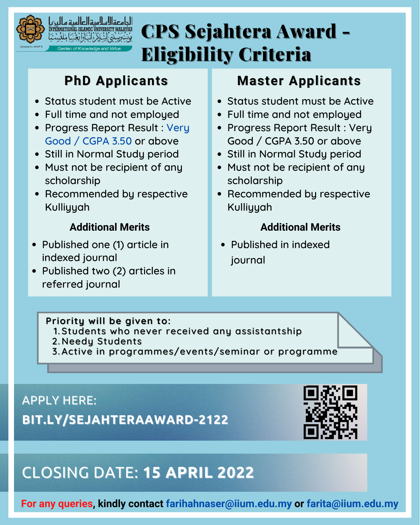

الجامعة السالمرة العالمرة و

# CPS Sejahtera Award - Eligibility Criteria

### **PhD Applicants**

- Status student must be Active
- Full time and not employed
- Progress Report Result : Very Good / CGPA 3.50 or above
- Still in Normal Study period
- Must not be recipient of any scholarship
- Recommended by respective Kulliyyah

### **Additional Merits**

- Published one (1) article in indexed journal
- Published two (2) articles in referred journal

### **Master Applicants**

- Status student must be Active
- Full time and not employed
- Progress Report Result : Very Good / CGPA 3.50 or above
- Still in Normal Study period
- Must not be recipient of any scholarship
- Recommended by respective Kulliyyah

### **Additional Merits**

Published in indexed journal

**Priority will be given to:**

- 1. Students who never received any assistantship
- 2. Needy Students
- 3.Active in programmes/events/seminar or programme<sup>"</sup>

**BIT.LY/SEJAHTERAAWARD-2122** APPLY HERE:



### CLOSING DATE: **15 APRIL 2022**

**For any queries, kindly contact farihahnaser@iium.edu.my or farita@iium.edu.my**